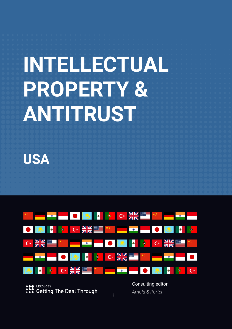# **INTELLECTUAL PROPERTY & ANTITRUST**

**USA**



LEXOLOGY **Getting The Deal Through** 

Consulting editor *Arnold & Porter*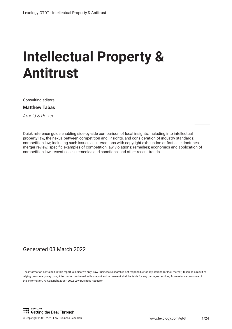# **Intellectual Property & Antitrust**

Consulting editors

**Matthew Tabas**

*Arnold & Porter*

Quick reference guide enabling side-by-side comparison of local insights, including into intellectual property law, the nexus between competition and IP rights, and consideration of industry standards; competition law, including such issues as interactions with copyright exhaustion or frst sale doctrines; merger review; specifc examples of competition law violations; remedies; economics and application of competition law; recent cases, remedies and sanctions; and other recent trends.

#### Generated 03 March 2022

The information contained in this report is indicative only. Law Business Research is not responsible for any actions (or lack thereof) taken as a result of relying on or in any way using information contained in this report and in no event shall be liable for any damages resulting from reliance on or use of this information. © Copyright 2006 - 2022 Law Business Research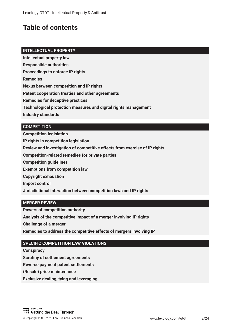## **Table of contents**

#### **INTELLECTUAL PROPERTY**

**Intellectual property law**

**Responsible authorities**

**Proceedings to enforce IP rights**

**Remedies** 

**Nexus between competition and IP rights**

**Patent cooperation treaties and other agreements**

**Remedies for deceptive practices**

**Technological protection measures and digital rights management**

**Industry standards**

#### **COMPETITION**

**Competition legislation IP rights in competition legislation Review and investigation of competitive effects from exercise of IP rights Competition-related remedies for private parties Competition guidelines Exemptions from competition law Copyright exhaustion Import control Jurisdictional interaction between competition laws and IP rights**

#### **MERGER REVIEW**

**Powers of competition authority** 

**Analysis of the competitive impact of a merger involving IP rights** 

**Challenge of a merger**

**Remedies to address the competitive effects of mergers involving IP**

#### **SPECIFIC COMPETITION LAW VIOLATIONS**

**Conspiracy**

**Scrutiny of settlement agreements** 

**Reverse payment patent settlements**

**(Resale) price maintenance**

**Exclusive dealing, tying and leveraging**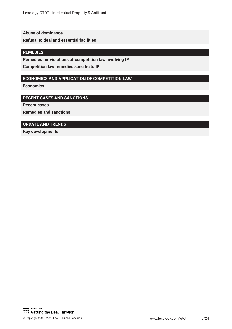#### **Abuse of dominance**

**Refusal to deal and essential facilities**

#### **REMEDIES**

**Remedies for violations of competition law involving IP**

**Competition law remedies specific to IP** 

#### **ECONOMICS AND APPLICATION OF COMPETITION LAW**

**Economics**

#### **RECENT CASES AND SANCTIONS**

**Recent cases**

**Remedies and sanctions**

#### **UPDATE AND TRENDS**

**Key developments**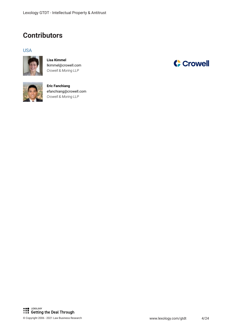### **Contributors**

#### USA



**Lisa Kimmel** lkimmel@crowell.com *Crowell & Moring LLP*



**Eric Fanchiang** efanchiang@crowell.com *Crowell & Moring LLP*

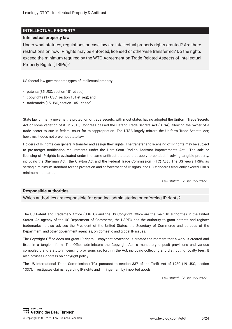#### **INTELLECTUAL PROPERTY**

#### **Intellectual property law**

Under what statutes, regulations or case law are intellectual property rights granted? Are there restrictions on how IP rights may be enforced, licensed or otherwise transferred? Do the rights exceed the minimum required by the WTO Agreement on Trade-Related Aspects of Intellectual Property Rights (TRIPs)?

US federal law governs three types of intellectual property:

- patents (35 USC, section 101 et seq);
- copyrights (17 USC, section 101 et seq); and
- \* trademarks (15 USC, section 1051 et seq).

State law primarily governs the protection of trade secrets, with most states having adopted the Uniform Trade Secrets Act or some variation of it. In 2016, Congress passed the Defend Trade Secrets Act (DTSA), allowing the owner of a trade secret to sue in federal court for misappropriation. The DTSA largely mirrors the Uniform Trade Secrets Act; however, it does not pre-empt state law.

Holders of IP rights can generally transfer and assign their rights. The transfer and licensing of IP rights may be subject to pre-merger notifcation requirements under the Hart–Scott–Rodino Antitrust Improvements Act . The sale or licensing of IP rights is evaluated under the same antitrust statutes that apply to conduct involving tangible property, including the Sherman Act , the Clayton Act and the Federal Trade Commission (FTC) Act . The US views TRIPs as setting a minimum standard for the protection and enforcement of IP rights, and US standards frequently exceed TRIPs minimum standards.

*Law stated - 26 January 2022*

#### **Responsible authorities**

Which authorities are responsible for granting, administering or enforcing IP rights?

The US Patent and Trademark Office (USPTO) and the US Copyright Office are the main IP authorities in the United States. An agency of the US Department of Commerce, the USPTO has the authority to grant patents and register trademarks. It also advises the President of the United States, the Secretary of Commerce and bureaus of the Department, and other government agencies, on domestic and global IP issues.

The Copyright Office does not grant IP rights – copyright protection is created the moment that a work is created and fixed in a tangible form. The Office administers the Copyright Act 's mandatory deposit provisions and various compulsory and statutory licensing provisions set forth in the Act, including collecting and distributing royalty fees. It also advises Congress on copyright policy.

The US International Trade Commission (ITC), pursuant to section 337 of the Tariff Act of 1930 (19 USC, section 1337), investigates claims regarding IP rights and infringement by imported goods.

*Law stated - 26 January 2022*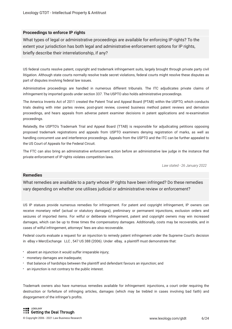#### **Proceedings to enforce IP rights**

What types of legal or administrative proceedings are available for enforcing IP rights? To the extent your jurisdiction has both legal and administrative enforcement options for IP rights, briefy describe their interrelationship, if any?

US federal courts resolve patent, copyright and trademark infringement suits, largely brought through private party civil litigation. Although state courts normally resolve trade secret violations, federal courts might resolve these disputes as part of disputes involving federal law issues.

Administrative proceedings are handled in numerous different tribunals. The ITC adjudicates private claims of infringement by imported goods under section 337. The USPTO also holds administrative proceedings.

The America Invents Act of 2011 created the Patent Trial and Appeal Board (PTAB) within the USPTO, which conducts trials dealing with inter partes review, post-grant review, covered business method patent reviews and derivation proceedings, and hears appeals from adverse patent examiner decisions in patent applications and re-examination proceedings.

Relatedly, the USPTO's Trademark Trial and Appeal Board (TTAB) is responsible for adjudicating petitions opposing proposed trademark registrations and appeals from USPTO examiners denying registration of marks, as well as handling concurrent use and interference proceedings. Appeals from the USPTO and the ITC can be further appealed to the US Court of Appeals for the Federal Circuit.

The FTC can also bring an administrative enforcement action before an administrative law judge in the instance that private enforcement of IP rights violates competition laws.

*Law stated - 26 January 2022*

#### **Remedies**

What remedies are available to a party whose IP rights have been infringed? Do these remedies vary depending on whether one utilises judicial or administrative review or enforcement?

US IP statues provide numerous remedies for infringement. For patent and copyright infringement, IP owners can receive monetary relief (actual or statutory damages), preliminary or permanent injunctions, exclusion orders and seizures of imported items. For wilful or deliberate infringement, patent and copyright owners may win increased damages, which can be up to three times the compensatory damages. Additionally, costs may be recoverable, and in cases of wilful infringement, attorneys' fees are also recoverable.

Federal courts evaluate a request for an injunction to remedy patent infringement under the Supreme Court's decision in eBay v MercExchange LLC, 547 US 388 (2006). Under eBay, a plaintiff must demonstrate that:

- absent an injunction it would suffer irreparable injury;
- monetary damages are inadequate;
- that balance of hardships between the plaintiff and defendant favours an injunction; and
- an injunction is not contrary to the public interest.

Trademark owners also have numerous remedies available for infringement: injunctions, a court order requiring the destruction or forfeiture of infringing articles, damages (which may be trebled in cases involving bad faith) and disgorgement of the infringer's profts.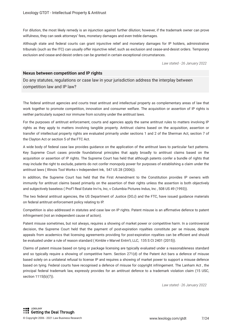For dilution, the most likely remedy is an injunction against further dilution; however, if the trademark owner can prove wilfulness, they can seek attorneys' fees, monetary damages and even treble damages.

Although state and federal courts can grant injunctive relief and monetary damages for IP holders, administrative tribunals (such as the ITC) can usually offer injunctive relief, such as exclusion and cease-and-desist orders. Temporary exclusion and cease-and-desist orders can be granted in certain exceptional circumstances.

*Law stated - 26 January 2022*

#### **Nexus between competition and IP rights**

Do any statutes, regulations or case law in your jurisdiction address the interplay between competition law and IP law?

The federal antitrust agencies and courts treat antitrust and intellectual property as complementary areas of law that work together to promote competition, innovation and consumer welfare. The acquisition or assertion of IP rights is neither particularly suspect nor immune from scrutiny under the antitrust laws.

For the purposes of antitrust enforcement, courts and agencies apply the same antitrust rules to matters involving IP rights as they apply to matters involving tangible property. Antitrust claims based on the acquisition, assertion or transfer of intellectual property rights are evaluated primarily under sections 1 and 2 of the Sherman Act, section 7 of the Clayton Act or section 5 of the FTC Act.

A wide body of federal case law provides guidance on the application of the antitrust laws to particular fact patterns. Key Supreme Court cases provide foundational principles that apply broadly to antitrust claims based on the acquisition or assertion of IP rights. The Supreme Court has held that although patents confer a bundle of rights that may include the right to exclude, patents do not confer monopoly power for purposes of establishing a claim under the antitrust laws ( Illinois Tool Works v Independent Ink, 547 US 28 (2006)).

In addition, the Supreme Court has held that the First Amendment to the Constitution provides IP owners with immunity for antitrust claims based primarily on the assertion of their rights unless the assertion is both objectively and subjectively baseless ( Prof'l Real Estate Inv'rs, Inc, v Columbia Pictures Indus, Inc , 508 US 49 (1993)).

The two federal antitrust agencies, the US Department of Justice (DOJ) and the FTC, have issued guidance materials on federal antitrust enforcement policy relating to IP.

Competition is also addressed in statutes and case law on IP rights. Patent misuse is an affirmative defence to patent infringement (not an independent cause of action).

Patent misuse sometimes, but not always, requires a showing of market power or competitive harm. In a controversial decision, the Supreme Court held that the payment of post-expiration royalties constitute per se misuse, despite appeals from academics that licensing agreements providing for post-expiration royalties can be efficient and should be evaluated under a rule of reason standard ( Kimble v Marvel Entm't, LLC, 135 S Ct 2401 (2015)).

Claims of patent misuse based on tying or package licensing are typically evaluated under a reasonableness standard and so typically require a showing of competitive harm. Section 271(d) of the Patent Act bars a defence of misuse based solely on a unilateral refusal to license IP and requires a showing of market power to support a misuse defence based on tying. Federal courts have recognised a defence of misuse for copyright infringement. The Lanham Act , the principal federal trademark law, expressly provides for an antitrust defence to a trademark violation claim (15 USC, section 1115(b)(7)).

*Law stated - 26 January 2022*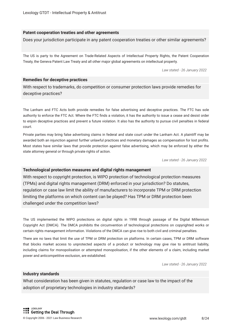#### **Patent cooperation treaties and other agreements**

Does your jurisdiction participate in any patent cooperation treaties or other similar agreements?

The US is party to the Agreement on Trade-Related Aspects of Intellectual Property Rights, the Patent Cooperation Treaty, the Geneva Patent Law Treaty and all other major global agreements on intellectual property.

*Law stated - 26 January 2022*

#### **Remedies for deceptive practices**

With respect to trademarks, do competition or consumer protection laws provide remedies for deceptive practices?

The Lanham and FTC Acts both provide remedies for false advertising and deceptive practices. The FTC has sole authority to enforce the FTC Act. Where the FTC fnds a violation, it has the authority to issue a cease and desist order to enjoin deceptive practices and prevent a future violation. It also has the authority to pursue civil penalties in federal court.

Private parties may bring false advertising claims in federal and state court under the Lanham Act. A plaintiff may be awarded both an injunction against further unlawful practices and monetary damages as compensation for lost profts. Most states have similar laws that provide protection against false advertising, which may be enforced by either the state attorney general or through private rights of action.

*Law stated - 26 January 2022*

#### **Technological protection measures and digital rights management**

With respect to copyright protection, is WIPO protection of technological protection measures (TPMs) and digital rights management (DRM) enforced in your jurisdiction? Do statutes, regulation or case law limit the ability of manufacturers to incorporate TPM or DRM protection limiting the platforms on which content can be played? Has TPM or DRM protection been challenged under the competition laws?

The US implemented the WIPO protections on digital rights in 1998 through passage of the Digital Millennium Copyright Act (DMCA). The DMCA prohibits the circumvention of technological protections on copyrighted works or certain rights management information. Violations of the DMCA can give rise to both civil and criminal penalties.

There are no laws that limit the use of TPM or DRM protection on platforms. In certain cases, TPM or DRM software that blocks market access to unprotected aspects of a product or technology may give rise to antitrust liability, including claims for monopolisation or attempted monopolisation, if the other elements of a claim, including market power and anticompetitive exclusion, are established.

*Law stated - 26 January 2022*

#### **Industry standards**

What consideration has been given in statutes, regulation or case law to the impact of the adoption of proprietary technologies in industry standards?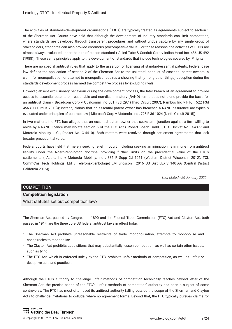The activities of standards-development organisations (SDOs) are typically treated as agreements subject to section 1 of the Sherman Act. Courts have held that although the development of industry standards can limit competition, where standards are developed through transparent procedures and without undue capture by any single group of stakeholders, standards can also provide enormous procompetitive value. For those reasons, the activities of SDOs are almost always evaluated under the rule of reason standard ( Allied Tube & Conduit Corp v Indian Head Inc. 486 US 492 (1988)). These same principles apply to the development of standards that include technologies covered by IP rights.

There are no special antitrust rules that apply to the assertion or licensing of standard-essential patents. Federal case law defnes the application of section 2 of the Sherman Act to the unilateral conduct of essential patent owners. A claim for monopolisation or attempt to monopolise requires a showing that (among other things) deception during the standards-development process harmed the competitive process by excluding rivals.

However, absent exclusionary behaviour during the development process, the later breach of an agreement to provide access to essential patents on reasonable and non-discriminatory (RAND) terms does not alone provide the basis for an antitrust claim ( Broadcom Corp v Qualcomm Inc 501 F3d 297 (Third Circuit 2007), Rambus Inc v FTC , 522 F3d 456 (DC Circuit 2018)); instead, claims that an essential patent owner has breached a RAND assurance are typically evaluated under principles of contract law ( Microsoft Corp v Motorola, Inc , 795 F 3d 1024 (Ninth Circuit 2015)).

In two matters, the FTC has alleged that an essential patent owner that seeks an injunction against a frm willing to abide by a RAND licence may violate section 5 of the FTC Act ( Robert Bosch GmbH , FTC Docket No. C-4377 and Motorola Mobility LLC , Docket No. C-4410). Both matters were resolved through settlement agreements that lack broader precedential value.

Federal courts have held that merely seeking relief in court, including seeking an injunction, is immune from antitrust liability under the Noerr-Pennington doctrine, providing further limits on the precedential value of the FTC's settlements ( Apple, Inc v Motorola Mobility, Inc , 886 F Supp 2d 1061 (Western District Wisconsin 2012), TCL Commc'ns Tech Holdings, Ltd v Telefonaktienbolaget LM Ericsson , 2016 US Dist LEXIS 140566 (Central District California 2016)).

*Law stated - 26 January 2022*

#### **COMPETITION**

#### **Competition legislation**

What statutes set out competition law?

The Sherman Act, passed by Congress in 1890 and the Federal Trade Commission (FTC) Act and Clayton Act, both passed in 1914, are the three core US federal antitrust laws in effect today.

- The Sherman Act prohibits unreasonable restraints of trade, monopolisation, attempts to monopolise and conspiracies to monopolise.
- The Clayton Act prohibits acquisitions that may substantially lessen competition, as well as certain other issues, such as tying.
- The FTC Act, which is enforced solely by the FTC, prohibits unfair methods of competition, as well as unfair or deceptive acts and practices.

Although the FTC's authority to challenge unfair methods of competition technically reaches beyond letter of the Sherman Act, the precise scope of the FTC's 'unfair methods of competition' authority has been a subject of some controversy. The FTC has most often used its antitrust authority falling outside the scope of the Sherman and Clayton Acts to challenge invitations to collude, where no agreement forms. Beyond that, the FTC typically pursues claims for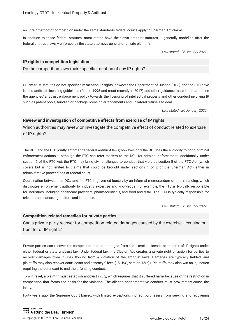an unfair method of competition under the same standards federal courts apply to Sherman Act claims.

In addition to these federal statutes, most states have their own antitrust statutes – generally modelled after the federal antitrust laws – enforced by the state attorneys general or private plaintiffs.

*Law stated - 26 January 2022*

#### **IP rights in competition legislation**

Do the competition laws make specifc mention of any IP rights?

US antitrust statutes do not specifcally mention IP rights; however, the Department of Justice (DOJ) and the FTC have issued antitrust licensing guidelines (frst in 1995 and most recently in 2017) and other guidance materials that outline the agencies' antitrust enforcement policy towards the licensing of intellectual property and other conduct involving IP, such as patent pools, bundled or package licensing arrangements and unilateral refusals to deal.

*Law stated - 26 January 2022*

#### **Review and investigation of competitive effects from exercise of IP rights**

Which authorities may review or investigate the competitive effect of conduct related to exercise of IP rights?

The DOJ and the FTC jointly enforce the federal antitrust laws; however, only the DOJ has the authority to bring criminal enforcement actions – although the FTC can refer matters to the DOJ for criminal enforcement. Additionally, under section 5 of the FTC Act, the FTC may bring civil challenges to conduct that violates section 5 of the FTC Act (which covers but is not limited to claims that could be brought under sections 1 or 2 of the Sherman Act) either in administrative proceedings or federal court.

Coordination between the DOJ and the FTC is governed loosely by an informal memorandum of understanding, which distributes enforcement authority by industry expertise and knowledge. For example, the FTC is typically responsible for industries, including healthcare providers, pharmaceuticals, and food and retail. The DOJ is typically responsible for telecommunication, agriculture and insurance.

*Law stated - 26 January 2022*

#### **Competition-related remedies for private parties**

Can a private party recover for competition-related damages caused by the exercise, licensing or transfer of IP rights?

Private parties can recover for competition-related damages from the exercise, licence or transfer of IP rights under either federal or state antitrust law. Under federal law, the Clayton Act creates a private right of action for parties to recover damages from injuries fowing from a violation of the antitrust laws. Damages are typically trebled, and plaintiffs may also recover court costs and attorneys' fees (15 USC, section 15(a)). Plaintiffs may also win an injunction requiring the defendant to end the offending conduct.

To win relief, a plaintiff must establish antitrust injury, which requires that it suffered harm because of the restriction in competition that forms the basis for the violation. The alleged anticompetitive conduct must proximately cause the injury.

Forty years ago, the Supreme Court barred, with limited exceptions, indirect purchasers from seeking and recovering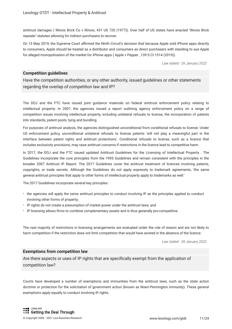antitrust damages ( Illinois Brick Co v Illinois, 431 US 720 (1977)). Over half of US states have enacted 'Illinois Brick repealer' statutes allowing for indirect purchasers to recover.

On 13 May 2019, the Supreme Court afrmed the Ninth Circuit's decision that because Apple sold iPhone apps directly to consumers, Apple should be treated as a distributor and consumers as direct purchasers with standing to sue Apple for alleged monopolisation of the market for iPhone apps ( Apple v Pepper , 139 S Ct 1514 (2019)).

*Law stated - 26 January 2022*

#### **Competition guidelines**

Have the competition authorities, or any other authority, issued guidelines or other statements regarding the overlap of competition law and IP?

The DOJ and the FTC have issued joint guidance materials on federal antitrust enforcement policy relating to intellectual property. In 2007, the agencies issued a report outlining agency enforcement policy on a range of competition issues involving intellectual property, including unilateral refusals to license, the incorporation of patents into standards, patent pools, tying and bundling.

For purposes of antitrust analysis, the agencies distinguished unconditional from conditional refusals to license. Under US enforcement policy, unconditional unilateral refusals to license patents 'will not play a meaningful part in the interface between patent rights and antitrust protections'. Conditional refusals to license, such as a licence that includes exclusivity provisions, may raise antitrust concerns if restrictions in the licence lead to competitive harm.

In 2017, the DOJ and the FTC issued updated Antitrust Guidelines for the Licensing of Intellectual Property . The Guidelines incorporate the core principles from the 1995 Guidelines and remain consistent with the principles in the broader 2007 Antitrust IP Report. The 2017 Guidelines cover the antitrust treatment of licences involving patents, copyrights, or trade secrets. Although the Guidelines do not apply expressly to trademark agreements, 'the same general antitrust principles that apply to other forms of intellectual property apply to trademarks as well.'

The 2017 Guidelines incorporate several key principles:

- the agencies will apply the same antitrust principles to conduct involving IP as the principles applied to conduct involving other forms of property;
- IP rights do not create a presumption of market power under the antitrust laws; and
- IP licensing allows frms to combine complementary assets and is thus generally pro-competitive.

The vast majority of restrictions in licensing arrangements are evaluated under the rule of reason and are not likely to harm competition if the restriction does not limit competition that would have existed in the absence of the licence.

*Law stated - 26 January 2022*

#### **Exemptions from competition law**

Are there aspects or uses of IP rights that are specifcally exempt from the application of competition law?

Courts have developed a number of exemptions and immunities from the antitrust laws, such as the state action doctrine or protection for the solicitation of government action (known as Noerr-Pennington immunity). These general exemptions apply equally to conduct involving IP rights.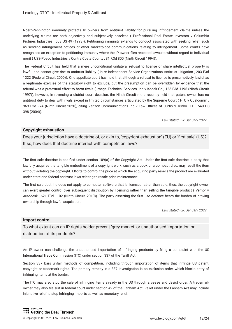Noerr-Pennington immunity protects IP owners from antitrust liability for pursuing infringement claims unless the underlying claims are both objectively and subjectively baseless ( Professional Real Estate Investors v Columbia Pictures Industries , 508 US 49 (1993)). Petitioning immunity extends to conduct associated with seeking relief, such as sending infringement notices or other marketplace communications relating to infringement. Some courts have recognised an exception to petitioning immunity where the IP owner fles repeated lawsuits without regard to individual merit ( USS-Posco Industries v Contra Costa County , 31 F.3d 800 (Ninth Circuit 1994)).

The Federal Circuit has held that a mere unconditional unilateral refusal to license or share intellectual property is lawful and cannot give rise to antitrust liability ( In re Independent Service Organizations Antitrust Litigation , 203 F3d 1322 (Federal Circuit 2000)). One appellate court has held that although a refusal to license is presumptively lawful as a legitimate exercise of the statutory right to exclude, but the presumption can be overridden by evidence that the refusal was a pretextual effort to harm rivals ( Image Technical Services, Inc v Kodak Co , 125 F3d 1195 (Ninth Circuit 1997)); however, in reversing a district court decision, the Ninth Circuit more recently held that patent owner has no antitrust duty to deal with rivals except in limited circumstances articulated by the Supreme Court ( FTC v Qualcomm , 969 F3d 974 (Ninth Circuit 2020), citing Verizon Communications Inc v Law Offices of Curtis v Trinko LLP, 540 US 398 (2004)).

*Law stated - 26 January 2022*

#### **Copyright exhaustion**

Does your jurisdiction have a doctrine of, or akin to, 'copyright exhaustion' (EU) or 'first sale' (US)? If so, how does that doctrine interact with competition laws?

The first sale doctrine is codified under section 109(a) of the Copyright Act. Under the first sale doctrine, a party that lawfully acquires the tangible embodiment of a copyright work, such as a book or a compact disc, may resell the item without violating the copyright. Efforts to control the price at which the acquiring party resells the product are evaluated under state and federal antitrust laws relating to resale-price maintenance.

The first sale doctrine does not apply to computer software that is licensed rather than sold; thus, the copyright owner can exert greater control over subsequent distribution by licensing rather than selling the tangible product ( Vernor v Autodesk , 621 F3d 1102 (Ninth Circuit, 2010)). The party asserting the frst use defence bears the burden of proving ownership through lawful acquisition.

*Law stated - 26 January 2022*

#### **Import control**

To what extent can an IP rights holder prevent 'grey-market' or unauthorised importation or distribution of its products?

An IP owner can challenge the unauthorised importation of infringing products by fling a complaint with the US International Trade Commission (ITC) under section 337 of the Tariff Act.

Section 337 bars unfair methods of competition, including through importation of items that infringe US patent, copyright or trademark rights. The primary remedy in a 337 investigation is an exclusion order, which blocks entry of infringing items at the border.

The ITC may also stop the sale of infringing items already in the US through a cease and desist order. A trademark owner may also fle suit in federal court under section 42 of the Lanham Act. Relief under the Lanham Act may include injunctive relief to stop infringing imports as well as monetary relief.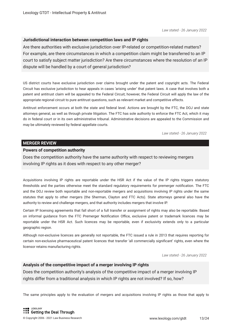#### **Jurisdictional interaction between competition laws and IP rights**

Are there authorities with exclusive jurisdiction over IP-related or competition-related matters? For example, are there circumstances in which a competition claim might be transferred to an IP court to satisfy subject matter jurisdiction? Are there circumstances where the resolution of an IP dispute will be handled by a court of general jurisdiction?

US district courts have exclusive jurisdiction over claims brought under the patent and copyright acts. The Federal Circuit has exclusive jurisdiction to hear appeals in cases 'arising under' that patent laws. A case that involves both a patent and antitrust claim will be appealed to the Federal Circuit; however, the Federal Circuit will apply the law of the appropriate regional circuit to pure antitrust questions, such as relevant market and competitive effects.

Antitrust enforcement occurs at both the state and federal level. Actions are brought by the FTC, the DOJ and state attorneys general, as well as through private litigation. The FTC has sole authority to enforce the FTC Act, which it may do in federal court or in its own administrative tribunal. Administrative decisions are appealed to the Commission and may be ultimately reviewed by federal appellate courts.

*Law stated - 26 January 2022*

#### **MERGER REVIEW**

#### **Powers of competition authority**

Does the competition authority have the same authority with respect to reviewing mergers involving IP rights as it does with respect to any other merger?

Acquisitions involving IP rights are reportable under the HSR Act if the value of the IP rights triggers statutory thresholds and the parties otherwise meet the standard regulatory requirements for premerger notifcation. The FTC and the DOJ review both reportable and non-reportable mergers and acquisitions involving IP rights under the same statutes that apply to other mergers (the Sherman, Clayton and FTC Acts). State attorneys general also have the authority to review and challenge mergers, and that authority includes mergers that involve IP.

Certain IP licensing agreements that fall short of a full transfer or assignment of rights may also be reportable. Based on informal guidance from the FTC Premerger Notification Office, exclusive patent or trademark licences may be reportable under the HSR Act. Such licences may be reportable, even if exclusivity extends only to a particular geographic region.

Although non-exclusive licences are generally not reportable, the FTC issued a rule in 2013 that requires reporting for certain non-exclusive pharmaceutical patent licences that transfer 'all commercially signifcant' rights, even where the licensor retains manufacturing rights.

*Law stated - 26 January 2022*

#### **Analysis of the competitive impact of a merger involving IP rights**

Does the competition authority's analysis of the competitive impact of a merger involving IP rights differ from a traditional analysis in which IP rights are not involved? If so, how?

The same principles apply to the evaluation of mergers and acquisitions involving IP rights as those that apply to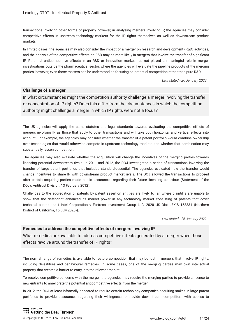transactions involving other forms of property however, in analysing mergers involving IP, the agencies may consider competitive effects in upstream technology markets for the IP rights themselves as well as downstream product markets.

In limited cases, the agencies may also consider the impact of a merger on research and development (R&D) activities, and the analysis of the competitive effects on R&D may be more likely in mergers that involve the transfer of signifcant IP. Potential anticompetitive effects in an R&D or innovation market has not played a meaningful role in merger investigations outside the pharmaceutical sector, where the agencies will evaluate the pipeline products of the merging parties; however, even those matters can be understood as focusing on potential competition rather than pure R&D.

*Law stated - 26 January 2022*

#### **Challenge of a merger**

In what circumstances might the competition authority challenge a merger involving the transfer or concentration of IP rights? Does this differ from the circumstances in which the competition authority might challenge a merger in which IP rights were not a focus?

The US agencies will apply the same statutes and legal standards towards evaluating the competitive effects of mergers involving IP as those that apply to other transactions and will take both horizontal and vertical effects into account. For example, the agencies may consider whether the transfer of a patent portfolio would combine ownership over technologies that would otherwise compete in upstream technology markets and whether that combination may substantially lessen competition.

The agencies may also evaluate whether the acquisition will change the incentives of the merging parties towards licensing potential downstream rivals. In 2011 and 2012, the DOJ investigated a series of transactions involving the transfer of large patent portfolios that included standard-essential. The agencies evaluated how the transfer would change incentives to share IP with downstream product market rivals. The DOJ allowed the transactions to proceed after certain acquiring parties made public assurances regarding their future licensing behaviour (Statement of the DOJ's Antitrust Division, 13 February 2012).

Challenges to the aggregation of patents by patent assertion entities are likely to fail where plaintiffs are unable to show that the defendant enhanced its market power in any technology market consisting of patents that cover technical substitutes ( Intel Corporation v Fortress Investment Group LLC, 2020 US Dist LEXIS 158831 (Northern District of California, 15 July 2020)).

*Law stated - 26 January 2022*

#### **Remedies to address the competitive effects of mergers involving IP**

What remedies are available to address competitive effects generated by a merger when those effects revolve around the transfer of IP rights?

The normal range of remedies is available to restore competition that may be lost in mergers that involve IP rights, including divestiture and behavioural remedies. In some cases, one of the merging parties may own intellectual property that creates a barrier to entry into the relevant market.

To resolve competitive concerns with the merger, the agencies may require the merging parties to provide a licence to new entrants to ameliorate the potential anticompetitive effects from the merger.

In 2012, the DOJ at least informally appeared to require certain technology companies acquiring stakes in large patent portfolios to provide assurances regarding their willingness to provide downstream competitors with access to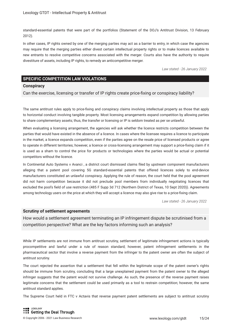standard-essential patents that were part of the portfolios (Statement of the DOJ's Antitrust Division, 13 February 2012).

In other cases, IP rights owned by one of the merging parties may act as a barrier to entry, in which case the agencies may require that the merging parties either divest certain intellectual property rights or to make licences available to new entrants to resolve competitive concerns associated with the merger. Courts also have the authority to require divestiture of assets, including IP rights, to remedy an anticompetitive merger.

*Law stated - 26 January 2022*

#### **SPECIFIC COMPETITION LAW VIOLATIONS**

#### **Conspiracy**

Can the exercise, licensing or transfer of IP rights create price-fxing or conspiracy liability?

The same antitrust rules apply to price-fxing and conspiracy claims involving intellectual property as those that apply to horizontal conduct involving tangible property. Most licensing arrangements expand competition by allowing parties to share complementary assets; thus, the transfer or licensing or IP is seldom treated as per se unlawful.

When evaluating a licensing arrangement, the agencies will ask whether the licence restricts competition between the parties that would have existed in the absence of a licence. In cases where the licensee requires a licence to participate in the market, a licence expands competition, even if the parties agree on the resale price of licensed products or agree to operate in different territories; however, a licence or cross-licensing arrangement may support a price-fxing claim if it is used as a sham to control the price for products or technologies where the parties would be actual or potential competitors without the licence.

In Continental Auto Systems v Avanci , a district court dismissed claims fled by upstream component manufacturers alleging that a patent pool covering 5G standard-essential patents that offered licences solely to end-device manufacturers constituted an unlawful conspiracy. Applying the rule of reason, the court held that the pool agreement did not harm competition because it did not preclude pool members from individually negotiating licences that excluded the pool's feld of use restriction (485 F Supp 3d 712 (Northern District of Texas, 10 Sept 2020)). Agreements among technology users on the price at which they will accept a licence may also give rise to a price-fxing claim.

*Law stated - 26 January 2022*

#### **Scrutiny of settlement agreements**

How would a settlement agreement terminating an IP infringement dispute be scrutinised from a competition perspective? What are the key factors informing such an analysis?

While IP settlements are not immune from antitrust scrutiny, settlement of legitimate infringement actions is typically procompetitive and lawful under a rule of reason standard; however, patent infringement settlements in the pharmaceutical sector that involve a reverse payment from the infringer to the patent owner are often the subject of antitrust scrutiny.

The court rejected the assertion that a settlement that fell within the legitimate scope of the patent owner's rights should be immune from scrutiny, concluding that a large unexplained payment from the patent owner to the alleged infringer suggests that the patent would not survive challenge. As such, the presence of the reverse payment raises legitimate concerns that the settlement could be used primarily as a tool to restrain competition; however, the same antitrust standard applies.

The Supreme Court held in FTC v Actavis that reverse payment patent settlements are subject to antitrust scrutiny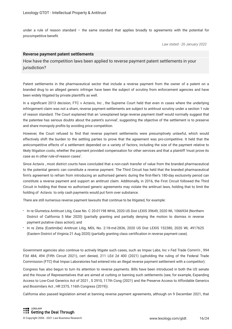under a rule of reason standard – the same standard that applies broadly to agreements with the potential for procompetitive beneft.

*Law stated - 26 January 2022*

#### **Reverse payment patent settlements**

How have the competition laws been applied to reverse payment patent settlements in your jurisdiction?

Patent settlements in the pharmaceutical sector that include a reverse payment from the owner of a patent on a branded drug to an alleged generic infringer have been the subject of scrutiny from enforcement agencies and have been widely litigated by private plaintiffs as well.

In a signifcant 2013 decision, FTC v Actavis, Inc , the Supreme Court held that even in cases where the underlying infringement claim was not a sham, reverse payment settlements are subject to antitrust scrutiny under a section 1 rule of reason standard. The Court explained that an 'unexplained large reverse payment itself would normally suggest that the patentee has serious doubts about the patent's survival', suggesting the objective of the settlement is to preserve and share monopoly profts by avoiding price competition.

However, the Court refused to fnd that reverse payment settlements were presumptively unlawful, which would effectively shift the burden to the settling parties to prove that the agreement was pro-competitive. It held that the anticompetitive effects of a settlement depended on a variety of factors, including the size of the payment relative to likely litigation costs, whether the payment provided compensation for other services and that a plaintiff 'must prove its case as in other rule-of-reason cases'.

Since Actavis , most district courts have concluded that a non-cash transfer of value from the branded pharmaceutical to the potential generic can constitute a reverse payment. The Third Circuit has held that the branded pharmaceutical frm's agreement to refrain from introducing an authorised generic during the frst-fler's 180-day exclusivity period can constitute a reverse payment and support an antitrust claim. Additionally, in 2016, the First Circuit followed the Third Circuit in holding that these no authorised generic agreements may violate the antitrust laws, holding that to limit the holding of Actavis to only cash payments would put form over substance.

There are still numerous reverse payment lawsuits that continue to be litigated, for example:

- In re Glumetza Antitrust Litig, Case No. C 20-01198 WHA, 2020 US Dist LEXIS 39649, 2020 WL 1066934 (Northern District of California 5 Mar 2020) (partially granting and partially denying the motion to dismiss in reverse payment putative class action); and
- In re Zetia (Ezetimibe) Antitrust Litig, MDL No. 2:18-md-2836, 2020 US Dist LEXIS 152380, 2020 WL 4917625 (Eastern District of Virginia 21 Aug 2020) (partially granting class certifcation in reverse payment case).

Government agencies also continue to actively litigate such cases, such as Impax Labs, Inc v Fed Trade Comm'n , 994 F3d 484, 494 (Fifth Circuit 2021), cert denied, 211 LEd 2d 400 (2021) (upholding the ruling of the Federal Trade Commission (FTC) that Impax Laboratories had entered into an illegal reverse payment settlement with a competitor).

Congress has also begun to turn its attention to reverse payments. Bills have been introduced in both the US senate and the House of Representatives that are aimed at curbing or banning such settlements (see, for example, Expanding Access to Low-Cost Generics Act of 2021 , S 2910, 117th Cong (2021) and the Preserve Access to Affordable Generics and Biosimilars Act , HR 2375, 116th Congress (2019)).

California also passed legislation aimed at banning reverse payment agreements, although on 9 December 2021, that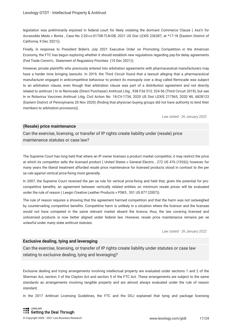legislation was preliminarily enjoined in federal court for likely violating the dormant Commerce Clause ( Ass'n for Accessible Meds v Bonta , Case No 2:20-cv-01708-TLN-DB, 2021 US Dist LEXIS 236387, at \*17-18 (Eastern District of California, 9 Dec 2021)).

Finally, in response to President Biden's July 2021 Executive Order on Promoting Competition in the American Economy, the FTC has begun exploring whether it should establish new regulations regarding pay-for-delay agreements (Fed Trade Comm'n, Statement of Regulatory Priorities (10 Dec 2021)).

However, private plaintiffs who previously entered into arbitration agreements with pharmaceutical manufacturers may have a harder time bringing lawsuits. In 2019, the Third Circuit found that a lawsuit alleging that a pharmaceutical manufacturer engaged in anticompetitive behaviour to protect its monopoly over a drug called Remicade was subject to an arbitration clause, even though that arbitration clause was part of a distribution agreement and not directly related to antitrust ( In re Remicade (Direct Purchaser) Antitrust Litig , 938 F3d 515, 524-56 (Third Circuit 2019); but see In re Rotavirus Vaccines Antitrust Litig, Civil Action No. 18-CV-1734, 2020 US Dist LEXIS 217565, 2020 WL 6828123 (Eastern District of Pennsylvania 20 Nov 2020) (fnding that physician buying groups did not have authority to bind their members to arbitration provisions)).

*Law stated - 26 January 2022*

#### **(Resale) price maintenance**

Can the exercise, licensing, or transfer of IP rights create liability under (resale) price maintenance statutes or case law?

The Supreme Court has long held that where an IP owner licenses a product market competitor, it may restrict the price at which its competitor sells the licensed product ( United States v General Electric , 272 US 476 (1926)); however, for many years the liberal treatment afforded resale price maintenance for licensed products stood in contrast to the per se rule against vertical price-fxing more generally.

In 2007, the Supreme Court reversed the per se rule for vertical price-fxing and held that, given the potential for procompetitive benefts, an agreement between vertically related entities on minimum resale prices will be evaluated under the rule of reason (Leegin Creative Leather Products v PSKS, 551 US 877 (2007)).

The rule of reason requires a showing that the agreement harmed competition and that the harm was not outweighed by countervailing competitive benefts. Competitive harm is unlikely in a situation where the licensor and the licensee would not have competed in the same relevant market absent the licence; thus, the law covering licensed and unlicensed products is now better aligned under federal law. However, resale price maintenance remains per se unlawful under many state antitrust statutes.

*Law stated - 26 January 2022*

#### **Exclusive dealing, tying and leveraging**

Can the exercise, licensing, or transfer of IP rights create liability under statutes or case law relating to exclusive dealing, tying and leveraging?

Exclusive dealing and trying arrangements involving intellectual property are evaluated under sections 1 and 2 of the Sherman Act, section 3 of the Clayton Act and section 5 of the FTC Act. These arrangements are subject to the same standards as arrangements involving tangible property and are almost always evaluated under the rule of reason standard.

In the 2017 Antitrust Licensing Guidelines, the FTC and the DOJ explained that tying and package licensing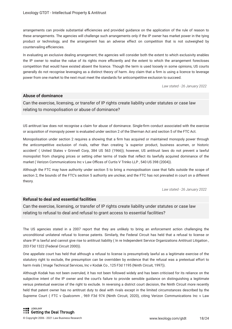arrangements can provide substantial efficiencies and provided guidance on the application of the rule of reason to these arrangements. The agencies will challenge such arrangements only if the IP owner has market power in the tying product or technology, and the arrangement has an adverse effect on competition that is not outweighed by countervailing efficiencies.

In evaluating an exclusive dealing arrangement, the agencies will consider both the extent to which exclusivity enables the IP owner to realise the value of its rights more efficiently and the extent to which the arrangement forecloses competition that would have existed absent the licence. Though the term is used loosely in some opinions, US courts generally do not recognise leveraging as a distinct theory of harm. Any claim that a frm is using a licence to leverage power from one market to the next must meet the standards for anticompetitive exclusion to succeed.

*Law stated - 26 January 2022*

#### **Abuse of dominance**

Can the exercise, licensing, or transfer of IP rights create liability under statutes or case law relating to monopolisation or abuse of dominance?

US antitrust law does not recognise a claim for abuse of dominance. Single-frm conduct associated with the exercise or acquisition of monopoly power is evaluated under section 2 of the Sherman Act and section 5 of the FTC Act.

Monopolisation under section 2 requires a showing that a frm has acquired or maintained monopoly power through the anticompetitive exclusion of rivals, rather than creating 'a superior product, business acumen, or historic accident' ( United States v Grinnell Corp, 384 US 563 (1966)); however, US antitrust laws do not prevent a lawful monopolist from charging prices or setting other terms of trade that refect its lawfully acquired dominance of the market ( Verizon Communications Inc v Law Offices of Curtis V Trinko LLP, 540 US 398 (2004)).

Although the FTC may have authority under section 5 to bring a monopolisation case that falls outside the scope of section 2, the bounds of the FTC's section 5 authority are unclear, and the FTC has not prevailed in court on a different theory.

*Law stated - 26 January 2022*

#### **Refusal to deal and essential facilities**

Can the exercise, licensing, or transfer of IP rights create liability under statutes or case law relating to refusal to deal and refusal to grant access to essential facilities?

The US agencies stated in a 2007 report that they are unlikely to bring an enforcement action challenging the unconditional unilateral refusal to license patents. Similarly, the Federal Circuit has held that a refusal to license or share IP is lawful and cannot give rise to antitrust liability ( In re Independent Service Organizations Antitrust Litigation , 203 F3d 1322 (Federal Circuit 2000)).

One appellate court has held that although a refusal to license is presumptively lawful as a legitimate exercise of the statutory right to exclude, the presumption can be overridden by evidence that the refusal was a pretextual effort to harm rivals (Image Technical Services, Inc v Kodak Co, 125 F3d 1195 (Ninth Circuit, 1997)).

Although Kodak has not been overruled, it has not been followed widely and has been criticised for its reliance on the subjective intent of the IP owner and the court's failure to provide sensible guidance on distinguishing a legitimate versus pretextual exercise of the right to exclude. In reversing a district court decision, the Ninth Circuit more recently held that patent owner has no antitrust duty to deal with rivals except in the limited circumstances described by the Supreme Court ( FTC v Qualcomm , 969 F3d 974 (Ninth Circuit, 2020), citing Verizon Communications Inc v Law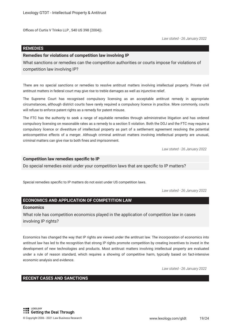Offices of Curtis V Trinko LLP, 540 US 398 (2004)).

*Law stated - 26 January 2022*

#### **REMEDIES**

#### **Remedies for violations of competition law involving IP**

What sanctions or remedies can the competition authorities or courts impose for violations of competition law involving IP?

There are no special sanctions or remedies to resolve antitrust matters involving intellectual property. Private civil antitrust matters in federal court may give rise to treble damages as well as injunctive relief.

The Supreme Court has recognised compulsory licensing as an acceptable antitrust remedy in appropriate circumstances, although district courts have rarely required a compulsory licence in practice. More commonly, courts will refuse to enforce patent rights as a remedy for patent misuse.

The FTC has the authority to seek a range of equitable remedies through administrative litigation and has ordered compulsory licensing on reasonable rates as a remedy to a section 5 violation. Both the DOJ and the FTC may require a compulsory licence or divestiture of intellectual property as part of a settlement agreement resolving the potential anticompetitive effects of a merger. Although criminal antitrust matters involving intellectual property are unusual, criminal matters can give rise to both fnes and imprisonment.

*Law stated - 26 January 2022*

#### **Competition law remedies specifc to IP**

Do special remedies exist under your competition laws that are specifc to IP matters?

Special remedies specific to IP matters do not exist under US competition laws.

*Law stated - 26 January 2022*

#### **ECONOMICS AND APPLICATION OF COMPETITION LAW**

#### **Economics**

What role has competition economics played in the application of competition law in cases involving IP rights?

Economics has changed the way that IP rights are viewed under the antitrust law. The incorporation of economics into antitrust law has led to the recognition that strong IP rights promote competition by creating incentives to invest in the development of new technologies and products. Most antitrust matters involving intellectual property are evaluated under a rule of reason standard, which requires a showing of competitive harm, typically based on fact-intensive economic analysis and evidence.

*Law stated - 26 January 2022*

#### **RECENT CASES AND SANCTIONS**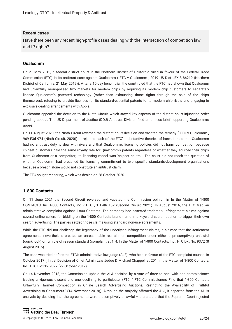#### **Recent cases**

Have there been any recent high-profle cases dealing with the intersection of competition law and IP rights?

#### **Qualcomm**

On 21 May 2019, a federal district court in the Northern District of California ruled in favour of the Federal Trade Commission (FTC) in its antitrust case against Qualcomm ( FTC v Qualcomm , 2019 US Dist LEXIS 86219 (Northern District of California, 21 May 2019)). After a 10-day bench trial, the court ruled that the FTC had shown that Qualcomm had unlawfully monopolised two markets for modem chips by requiring its modem chip customers to separately license Qualcomm's patented technology (rather than exhausting those rights through the sale of the chips themselves), refusing to provide licences for its standard-essential patents to its modem chip rivals and engaging in exclusive dealing arrangements with Apple.

Qualcomm appealed the decision to the Ninth Circuit, which stayed key aspects of the district court injunction order pending appeal. The US Department of Justice (DOJ) Antitrust Division fled an amicus brief supporting Qualcomm's appeal.

On 11 August 2020, the Ninth Circuit reversed the district court decision and vacated the remedy ( FTC v Qualcomm , 969 F3d 974 (Ninth Circuit, 2020)). It rejected each of the FTC's substantive theories of harm. It held that Qualcomm had no antitrust duty to deal with rivals and that Qualcomm's licensing policies did not harm competition because chipset customers paid the same royalty rate for Qualcomm's patents regardless of whether they sourced their chips from Qualcomm or a competitor; its licensing model was 'chipset neutral'. The court did not reach the question of whether Qualcomm had breached its licensing commitment to two specifc standards-development organisations because a breach alone would not constitute an antitrust claim.

The FTC sought rehearing, which was denied on 28 October 2020.

#### **1-800 Contacts**

On 11 June 2021 the Second Circuit reversed and vacated the Commission opinion in In the Matter of 1-800 CONTACTS, Inc 1-800 Contacts, Inc v FTC , 1 F4th 102 (Second Circuit, 2021). In August 2016, the FTC fled an administrative complaint against 1-800 Contacts. The company had asserted trademark infringement claims against several online sellers for bidding on the 1-800 Contacts brand name in a keyword search auction to trigger their own search advertising. The parties settled those claims using standard non-use agreements.

While the FTC did not challenge the legitimacy of the underlying infringement claims, it claimed that the settlement agreements nevertheless created an unreasonable restraint on competition under either a presumptively unlawful (quick look) or full rule of reason standard (complaint at 1, 4, In the Matter of 1-800 Contacts, Inc , FTC Dkt No. 9372 (8 August 2016).

The case was tried before the FTC's administrative law judge (ALF), who held in favour of the FTC complaint counsel in October 2017 ( Initial Decision of Chief Admin Law Judge D Michael Chappell at 201, In the Matter of 1-800 Contacts, Inc , FTC Dkt No. 9372 (27 October 2017).

On 14 November 2018, the Commission upheld the ALJ decision by a vote of three to one, with one commissioner issuing a vigorous dissent and one declining to participate. (FTC, ' FTC Commissioners Find that 1-800 Contacts Unlawfully Harmed Competition in Online Search Advertising Auctions, Restricting the Availability of Truthful Advertising to Consumers ' (14 November 2018)). Although the majority affirmed the ALJ, it departed from the ALJ's analysis by deciding that the agreements were presumptively unlawful – a standard that the Supreme Court rejected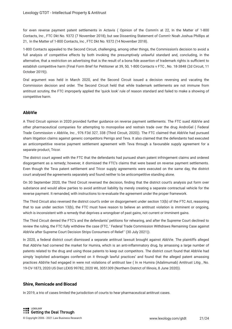for even reverse payment patent settlements in Actavis ( Opinion of the Comm'n at 22, In the Matter of 1-800 Contacts, Inc , FTC Dkt No. 9372 (7 November 2018); but see Dissenting Statement of Comm'r Noah Joshua Phillips at 21, In the Matter of 1-800 Contacts, Inc , FTC Dkt No. 9372 (14 November 2018).

1-800 Contacts appealed to the Second Circuit, challenging, among other things, the Commission's decision to avoid a full analysis of competitive effects by both invoking the presumptively unlawful standard and, concluding, in the alternative, that a restriction on advertising that is the result of a bona fide assertion of trademark rights is sufficient to establish competitive harm (Final Form Brief for Petitioner at 39, 50, 1-800 Contacts v FTC , No. 18-3848 (2d Circuit, 11 October 2019)).

Oral argument was held in March 2020, and the Second Circuit issued a decision reversing and vacating the Commission decision and order. The Second Circuit held that while trademark settlements are not immune from antitrust scrutiny, the FTC improperly applied the 'quick look' rule of reason standard and failed to make a showing of competitive harm.

#### **AbbVie**

A Third Circuit opinion in 2020 provided further guidance on reverse payment settlements. The FTC sued AbbVie and other pharmaceutical companies for attempting to monopolise and restrain trade over the drug AndroGel ( Federal Trade Commission v AbbVie, Inc , 976 F3d 327, 338 (Third Circuit, 2020)). The FTC claimed that AbbVie had pursued sham litigation claims against generic competitors Perrigo and Teva. It also claimed that the defendants had executed an anticompetitive reverse payment settlement agreement with Teva through a favourable supply agreement for a separate product, Tricor.

The district court agreed with the FTC that the defendants had pursued sham patent infringement claims and ordered disgorgement as a remedy; however, it dismissed the FTC's claims that were based on reverse payment settlements. Even though the Teva patent settlement and Tricor supply agreements were executed on the same day, the district court analysed the agreements separately and found neither to be anticompetitive standing alone.

On 30 September 2020, the Third Circuit reversed the decision, fnding that the district court's analysis put form over substance and would allow parties to avoid antitrust liability by merely creating a separate contractual vehicle for the reverse payment. It remanded, with instructions to re-evaluate the agreement under the proper framework.

The Third Circuit also reversed the district court's order on disgorgement under section 13(b) of the FTC Act, reasoning that to sue under section 13(b), the FTC must have reason to believe an antitrust violation is imminent or ongoing, which is inconsistent with a remedy that deprives a wrongdoer of past gains, not current or imminent gains.

The Third Circuit denied the FTC's and the defendants' petitions for rehearing, and after the Supreme Court declined to review the ruling, the FTC fully withdrew the case (FTC, ' Federal Trade Commission Withdraws Remaining Case against AbbVie after Supreme Court Decision Strips Consumers of Relief ' (30 July 2021)).

In 2020, a federal district court dismissed a separate antitrust lawsuit brought against AbbVie. The plaintiffs alleged that AbbVie had cornered the market for Humira, which is an anti-infammatory drug, by amassing a large number of patents related to the drug and using those patents to keep out competitors. The district court found that AbbVie had simply 'exploited advantages conferred on it through lawful practices' and found that the alleged patent amassing practices AbbVie had engaged in were not violations of antitrust law ( In re Humira (Adalimumab) Antitrust Litig , No. 19-CV-1873, 2020 US Dist LEXIS 99782, 2020 WL 3051309 (Northern District of Illinois, 8 June 2020)).

#### **Shire, Remicade and Biocad**

In 2019, a trio of cases limited the jurisdiction of courts to hear pharmaceutical antitrust cases.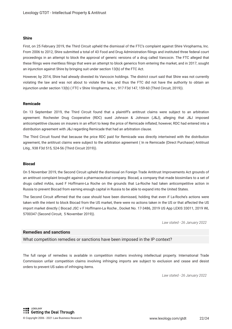#### **Shire**

First, on 25 February 2019, the Third Circuit upheld the dismissal of the FTC's complaint against Shire Viropharma, Inc. From 2006 to 2012, Shire submitted a total of 43 Food and Drug Administration flings and instituted three federal court proceedings in an attempt to block the approval of generic versions of a drug called Vancocin. The FTC alleged that these flings were meritless flings that were an attempt to block generics from entering the market, and in 2017, sought an injunction against Shire by bringing suit under section 13(b) of the FTC Act.

However, by 2014, Shire had already divested its Vancocin holdings. The district court said that Shire was not currently violating the law and was not about to violate the law, and thus the FTC did not have the authority to obtain an injunction under section 13(b) ( FTC v Shire Viropharma, Inc , 917 F3d 147, 159-60 (Third Circuit, 2019)).

#### **Remicade**

On 13 September 2019, the Third Circuit found that a plaintiff's antitrust claims were subject to an arbitration agreement. Rochester Drug Cooperative (RDC) sued Johnson & Johnson (J&J), alleging that J&J imposed anticompetitive clauses on insurers in an effort to keep the price of Remicade infated; however, RDC had entered into a distribution agreement with J&J regarding Remicade that had an arbitration clause.

The Third Circuit found that because the price RDC paid for Remicade was directly intertwined with the distribution agreement, the antitrust claims were subject to the arbitration agreement ( In re Remicade (Direct Purchaser) Antitrust Litig , 938 F3d 515, 524-56 (Third Circuit 2019)).

#### **Biocad**

On 5 November 2019, the Second Circuit upheld the dismissal on Foreign Trade Antitrust Improvements Act grounds of an antitrust complaint brought against a pharmaceutical company. Biocad, a company that made biosimilars to a set of drugs called mAbs, sued F Hoffmann-La Roche on the grounds that La-Roche had taken anticompetitive action in Russia to prevent Biocad from earning enough capital in Russia to be able to expand into the United States.

The Second Circuit affirmed that the case should have been dismissed, holding that even if La-Roche's actions were taken with the intent to block Biocad from the US market, there were no actions taken in the US or that affected the US import market directly ( Biocad JSC v F Hoffmann-La Roche , Docket No. 17-3486, 2019 US App LEXIS 33011, 2019 WL 5700347 (Second Circuit, 5 November 2019)).

*Law stated - 26 January 2022*

#### **Remedies and sanctions**

What competition remedies or sanctions have been imposed in the IP context?

The full range of remedies is available in competition matters involving intellectual property. International Trade Commission unfair competition claims involving infringing imports are subject to exclusion and cease and desist orders to prevent US sales of infringing items.

*Law stated - 26 January 2022*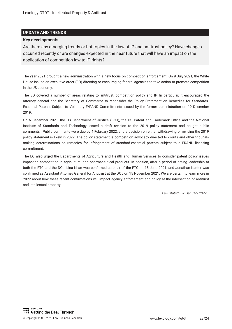#### **UPDATE AND TRENDS**

#### **Key developments**

Are there any emerging trends or hot topics in the law of IP and antitrust policy? Have changes occurred recently or are changes expected in the near future that will have an impact on the application of competition law to IP rights?

The year 2021 brought a new administration with a new focus on competition enforcement. On 9 July 2021, the White House issued an executive order (EO) directing or encouraging federal agencies to take action to promote competition in the US economy.

The EO covered a number of areas relating to antitrust, competition policy and IP. In particular, it encouraged the attorney general and the Secretary of Commerce to reconsider the Policy Statement on Remedies for Standards-Essential Patents Subject to Voluntary F/RAND Commitments issued by the former administration on 19 December 2019.

On 6 December 2021, the US Department of Justice (DOJ), the US Patent and Trademark Office and the National Institute of Standards and Technology issued a draft revision to the 2019 policy statement and sought public comments . Public comments were due by 4 February 2022, and a decision on either withdrawing or revising the 2019 policy statement is likely in 2022. The policy statement is competition advocacy directed to courts and other tribunals making determinations on remedies for infringement of standard-essential patents subject to a FRAND licensing commitment.

The EO also urged the Departments of Agriculture and Health and Human Services to consider patent policy issues impacting competition in agricultural and pharmaceutical products. In addition, after a period of acting leadership at both the FTC and the DOJ, Lina Khan was confrmed as chair of the FTC on 15 June 2021, and Jonathan Kanter was confrmed as Assistant Attorney General for Antitrust at the DOJ on 15 November 2021. We are certain to learn more in 2022 about how these recent confrmations will impact agency enforcement and policy at the intersection of antitrust and intellectual property.

*Law stated - 26 January 2022*